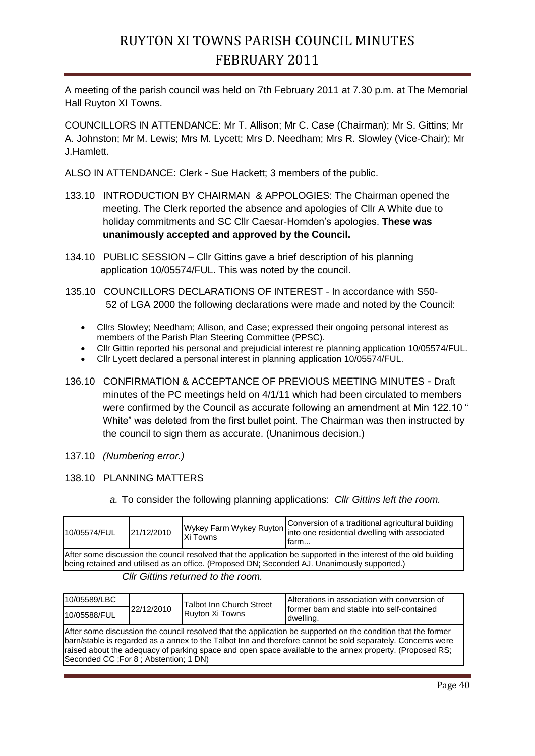A meeting of the parish council was held on 7th February 2011 at 7.30 p.m. at The Memorial Hall Ruyton XI Towns.

COUNCILLORS IN ATTENDANCE: Mr T. Allison; Mr C. Case (Chairman); Mr S. Gittins; Mr A. Johnston; Mr M. Lewis; Mrs M. Lycett; Mrs D. Needham; Mrs R. Slowley (Vice-Chair); Mr J.Hamlett.

ALSO IN ATTENDANCE: Clerk - Sue Hackett; 3 members of the public.

- 133.10 INTRODUCTION BY CHAIRMAN & APPOLOGIES: The Chairman opened the meeting. The Clerk reported the absence and apologies of Cllr A White due to holiday commitments and SC Cllr Caesar-Homden's apologies. **These was unanimously accepted and approved by the Council.**
- 134.10 PUBLIC SESSION Cllr Gittins gave a brief description of his planning application 10/05574/FUL. This was noted by the council.
- 135.10 COUNCILLORS DECLARATIONS OF INTEREST In accordance with S50- 52 of LGA 2000 the following declarations were made and noted by the Council:
	- Cllrs Slowley; Needham; Allison, and Case; expressed their ongoing personal interest as members of the Parish Plan Steering Committee (PPSC).
	- Cllr Gittin reported his personal and prejudicial interest re planning application 10/05574/FUL.
	- Cllr Lycett declared a personal interest in planning application 10/05574/FUL.
- 136.10 CONFIRMATION & ACCEPTANCE OF PREVIOUS MEETING MINUTES Draft minutes of the PC meetings held on 4/1/11 which had been circulated to members were confirmed by the Council as accurate following an amendment at Min 122.10 " White" was deleted from the first bullet point. The Chairman was then instructed by the council to sign them as accurate. (Unanimous decision.)
- 137.10 *(Numbering error.)*

## 138.10 PLANNING MATTERS

*a.* To consider the following planning applications: *Cllr Gittins left the room.*

| 10/05574/FUL                                                                                                                                                                                                      | 21/12/2010 | <b>Xi Towns</b> | Wykey Farm Wykey Ruyton Conversion of a traditional agricultural building<br>Into one residential dwelling with associated<br>lfarm |  |  |
|-------------------------------------------------------------------------------------------------------------------------------------------------------------------------------------------------------------------|------------|-----------------|-------------------------------------------------------------------------------------------------------------------------------------|--|--|
| After some discussion the council resolved that the application be supported in the interest of the old building<br>(being retained and utilised as an office. (Proposed DN; Seconded AJ. Unanimously supported.) |            |                 |                                                                                                                                     |  |  |
| $O \parallel_{\theta} O$ ; $U \parallel_{\theta}$ is the use of the theorem.                                                                                                                                      |            |                 |                                                                                                                                     |  |  |

## *Cllr Gittins returned to the room.*

| 10/05589/LBC                                                                                                                                                                                                                                                                                                                                                                        | 22/12/2010 | <b>Talbot Inn Church Street</b><br>Ruyton Xi Towns | Alterations in association with conversion of<br>former barn and stable into self-contained<br>dwelling. |  |  |
|-------------------------------------------------------------------------------------------------------------------------------------------------------------------------------------------------------------------------------------------------------------------------------------------------------------------------------------------------------------------------------------|------------|----------------------------------------------------|----------------------------------------------------------------------------------------------------------|--|--|
| 10/05588/FUL                                                                                                                                                                                                                                                                                                                                                                        |            |                                                    |                                                                                                          |  |  |
| After some discussion the council resolved that the application be supported on the condition that the former<br>barn/stable is regarded as a annex to the Talbot Inn and therefore cannot be sold separately. Concerns were<br>raised about the adequacy of parking space and open space available to the annex property. (Proposed RS;<br>Seconded CC ; For 8 ; Abstention; 1 DN) |            |                                                    |                                                                                                          |  |  |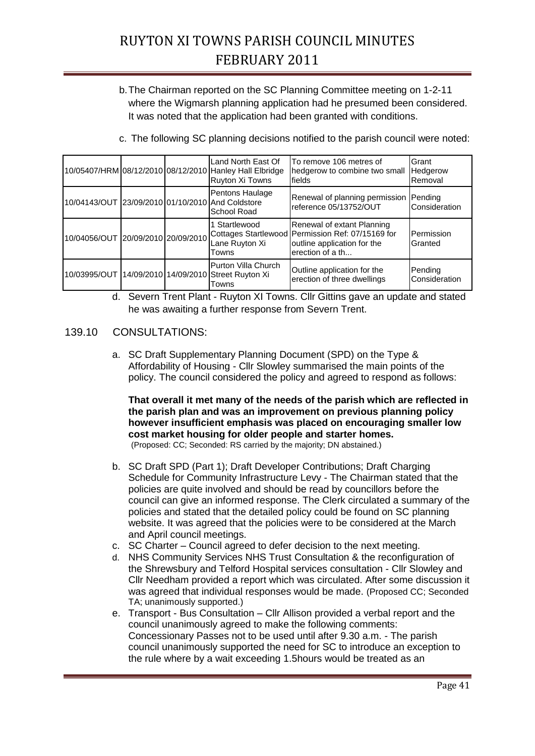b.The Chairman reported on the SC Planning Committee meeting on 1-2-11 where the Wigmarsh planning application had he presumed been considered. It was noted that the application had been granted with conditions.

|                                                  |  | Land North East Of<br>10/05407/HRM 08/12/2010 08/12/2010 Hanley Hall Elbridge<br>Ruyton Xi Towns | To remove 106 metres of<br>hedgerow to combine two small<br>fields                                                                 | Grant<br>Hedgerow<br>Removal |
|--------------------------------------------------|--|--------------------------------------------------------------------------------------------------|------------------------------------------------------------------------------------------------------------------------------------|------------------------------|
| 10/04143/OUT 23/09/2010 01/10/2010 And Coldstore |  | Pentons Haulage<br>School Road                                                                   | Renewal of planning permission<br>reference 05/13752/OUT                                                                           | Pending<br>Consideration     |
| 10/04056/OUT 20/09/2010 20/09/2010               |  | Startlewood<br>Lane Ruyton Xi<br>Towns                                                           | Renewal of extant Planning<br>Cottages Startlewood Permission Ref: 07/15169 for<br>outline application for the<br>erection of a th | Permission<br>Granted        |
|                                                  |  | Purton Villa Church<br>10/03995/OUT 14/09/2010 14/09/2010 Street Ruyton Xi<br>Towns              | Outline application for the<br>erection of three dwellings                                                                         | Pending<br>Consideration     |

c. The following SC planning decisions notified to the parish council were noted:

d. Severn Trent Plant - Ruyton XI Towns. Cllr Gittins gave an update and stated he was awaiting a further response from Severn Trent.

## 139.10 CONSULTATIONS:

a. SC Draft Supplementary Planning Document (SPD) on the Type & Affordability of Housing - Cllr Slowley summarised the main points of the policy. The council considered the policy and agreed to respond as follows:

**That overall it met many of the needs of the parish which are reflected in the parish plan and was an improvement on previous planning policy however insufficient emphasis was placed on encouraging smaller low cost market housing for older people and starter homes.** (Proposed: CC; Seconded: RS carried by the majority; DN abstained.)

- b. SC Draft SPD (Part 1); Draft Developer Contributions; Draft Charging Schedule for Community Infrastructure Levy - The Chairman stated that the policies are quite involved and should be read by councillors before the council can give an informed response. The Clerk circulated a summary of the policies and stated that the detailed policy could be found on SC planning website. It was agreed that the policies were to be considered at the March and April council meetings.
- c. SC Charter Council agreed to defer decision to the next meeting.
- d. NHS Community Services NHS Trust Consultation & the reconfiguration of the Shrewsbury and Telford Hospital services consultation - Cllr Slowley and Cllr Needham provided a report which was circulated. After some discussion it was agreed that individual responses would be made. (Proposed CC; Seconded TA; unanimously supported.)
- e. Transport Bus Consultation Cllr Allison provided a verbal report and the council unanimously agreed to make the following comments: Concessionary Passes not to be used until after 9.30 a.m. - The parish council unanimously supported the need for SC to introduce an exception to the rule where by a wait exceeding 1.5hours would be treated as an